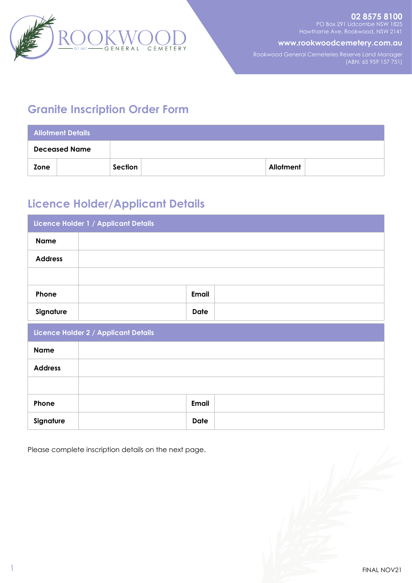

**www.rookwoodcemetery.com.au**

Rookwood General Cemeteries Reserve Land Manager (ABN: 65 959 157 751)

# **Granite Inscription Order Form**

| <b>Allotment Details</b> |  |         |  |           |  |  |  |
|--------------------------|--|---------|--|-----------|--|--|--|
| <b>Deceased Name</b>     |  |         |  |           |  |  |  |
| Zone                     |  | Section |  | Allotment |  |  |  |

# **Licence Holder/Applicant Details**

| Licence Holder 1 / Applicant Details |              |  |  |  |  |  |
|--------------------------------------|--------------|--|--|--|--|--|
| <b>Name</b>                          |              |  |  |  |  |  |
| <b>Address</b>                       |              |  |  |  |  |  |
|                                      |              |  |  |  |  |  |
| Phone                                | Email        |  |  |  |  |  |
| Signature                            | <b>Date</b>  |  |  |  |  |  |
| Licence Holder 2 / Applicant Details |              |  |  |  |  |  |
| <b>Name</b>                          |              |  |  |  |  |  |
| <b>Address</b>                       |              |  |  |  |  |  |
|                                      |              |  |  |  |  |  |
| Phone                                | <b>Email</b> |  |  |  |  |  |
| Signature                            | <b>Date</b>  |  |  |  |  |  |

Please complete inscription details on the next page.